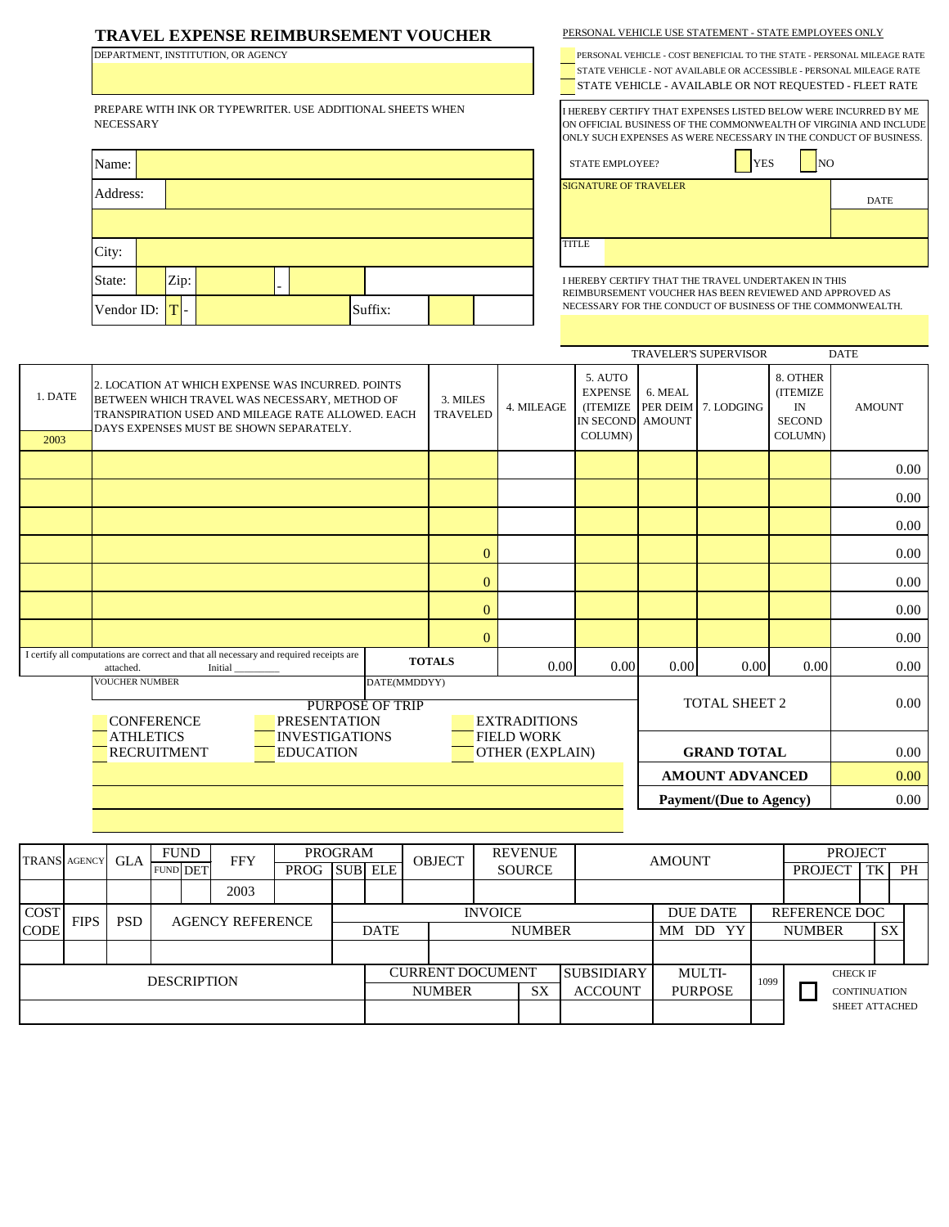## **TRAVEL EXPENSE REIMBURSEMENT VOUCHER**

DEPARTMENT, INSTITUTION, OR AGENCY

PREPARE WITH INK OR TYPEWRITER. USE ADDITIONAL SHEETS WHEN NECESSARY

| Name:              |      |  |         |  |              | <b>STATE EMPLOYEE?</b>                          |
|--------------------|------|--|---------|--|--------------|-------------------------------------------------|
| Address:           |      |  |         |  |              | <b>SIGNATURE OF TRAVELER</b>                    |
|                    |      |  |         |  |              |                                                 |
| City:              |      |  |         |  | <b>TITLE</b> |                                                 |
| State:             | Zip: |  |         |  |              | I HEREBY CERTIFY THAT T<br>REIMBURSEMENT VOUCHI |
| Vendor ID: $ T $ - |      |  | Suffix: |  |              | NECESSARY FOR THE CON                           |

| PERSONAL VEHICLE USE STATEMENT - STATE EMPLOYEES ONLY |  |  |
|-------------------------------------------------------|--|--|
|                                                       |  |  |



DATE

STATE EMPLOYEE? YES NO

I HEREBY CERTIFY THAT THE TRAVEL UNDERTAKEN IN THIS REIMBURSEMENT VOUCHER HAS BEEN REVIEWED AND APPROVED AS NECESSARY FOR THE CONDUCT OF BUSINESS OF THE COMMONWEALTH.

|                 |                                                                                                                                                                                                    | <b>TRAVELER'S SUPERVISOR</b><br><b>DATE</b> |                                |                                                                              |                            |            |                                                                              |               |      |
|-----------------|----------------------------------------------------------------------------------------------------------------------------------------------------------------------------------------------------|---------------------------------------------|--------------------------------|------------------------------------------------------------------------------|----------------------------|------------|------------------------------------------------------------------------------|---------------|------|
| 1. DATE<br>2003 | 2. LOCATION AT WHICH EXPENSE WAS INCURRED. POINTS<br>BETWEEN WHICH TRAVEL WAS NECESSARY, METHOD OF<br>TRANSPIRATION USED AND MILEAGE RATE ALLOWED. EACH<br>DAYS EXPENSES MUST BE SHOWN SEPARATELY. | 3. MILES<br><b>TRAVELED</b>                 | 4. MILEAGE                     | 5. AUTO<br><b>EXPENSE</b><br><b>(ITEMIZE)</b><br>IN SECOND AMOUNT<br>COLUMN) | 6. MEAL<br><b>PER DEIM</b> | 7. LODGING | 8. OTHER<br>(ITEMIZE<br>$\ensuremath{\text{IN}}$<br><b>SECOND</b><br>COLUMN) | <b>AMOUNT</b> |      |
|                 |                                                                                                                                                                                                    |                                             |                                |                                                                              |                            |            |                                                                              |               | 0.00 |
|                 |                                                                                                                                                                                                    |                                             |                                |                                                                              |                            |            |                                                                              |               | 0.00 |
|                 |                                                                                                                                                                                                    |                                             |                                |                                                                              |                            |            |                                                                              | 0.00          |      |
|                 |                                                                                                                                                                                                    | $\mathbf{0}$                                |                                |                                                                              |                            |            |                                                                              | 0.00          |      |
|                 |                                                                                                                                                                                                    |                                             | $\boldsymbol{0}$               |                                                                              |                            |            |                                                                              |               | 0.00 |
|                 |                                                                                                                                                                                                    |                                             | $\mathbf{0}$                   |                                                                              |                            |            |                                                                              |               | 0.00 |
|                 |                                                                                                                                                                                                    |                                             | $\mathbf{0}$                   |                                                                              |                            |            |                                                                              |               | 0.00 |
|                 | I certify all computations are correct and that all necessary and required receipts are<br>Initial<br>attached.                                                                                    |                                             | <b>TOTALS</b>                  | 0.00                                                                         | 0.00                       | 0.00       | 0.00                                                                         | 0.00          | 0.00 |
|                 | DATE(MMDDYY)<br><b>VOUCHER NUMBER</b><br><b>PURPOSE OF TRIP</b><br><b>CONFERENCE</b><br><b>PRESENTATION</b>                                                                                        |                                             | TOTAL SHEET 2                  |                                                                              |                            |            |                                                                              |               |      |
|                 | <b>ATHLETICS</b><br><b>INVESTIGATIONS</b><br><b>RECRUITMENT</b><br><b>EDUCATION</b>                                                                                                                | <b>GRAND TOTAL</b>                          | 0.00                           |                                                                              |                            |            |                                                                              |               |      |
|                 |                                                                                                                                                                                                    |                                             | <b>AMOUNT ADVANCED</b>         |                                                                              | 0.00                       |            |                                                                              |               |      |
|                 |                                                                                                                                                                                                    |                                             | <b>Payment/(Due to Agency)</b> |                                                                              | 0.00                       |            |                                                                              |               |      |

| <b>TRANS AGENCY</b> |             | <b>GLA</b>                            | <b>FUND</b><br><b>FFY</b> |  |               | <b>PROGRAM</b> |                | <b>OBJECT</b>  |                                              | <b>REVENUE</b> |                 | <b>AMOUNT</b> |                     |                       | <b>PROJECT</b> |  |    |    |
|---------------------|-------------|---------------------------------------|---------------------------|--|---------------|----------------|----------------|----------------|----------------------------------------------|----------------|-----------------|---------------|---------------------|-----------------------|----------------|--|----|----|
|                     |             |                                       | <b>FUND DET</b>           |  |               | PROG           |                | <b>SUB ELE</b> |                                              |                | <b>SOURCE</b>   |               |                     |                       |                |  | TK | PH |
|                     |             |                                       |                           |  | 2003          |                |                |                |                                              |                |                 |               |                     |                       |                |  |    |    |
| <b>COST</b>         | <b>FIPS</b> | <b>PSD</b><br><b>AGENCY REFERENCE</b> |                           |  |               |                | <b>INVOICE</b> |                |                                              |                | <b>DUE DATE</b> | REFERENCE DOC |                     |                       |                |  |    |    |
| <b>CODE</b>         |             |                                       |                           |  |               | <b>DATE</b>    |                |                | <b>NUMBER</b>                                |                | MM DD<br>YY     |               | <b>NUMBER</b>       |                       | SX             |  |    |    |
|                     |             |                                       |                           |  |               |                |                |                |                                              |                |                 |               |                     |                       |                |  |    |    |
| <b>DESCRIPTION</b>  |             |                                       |                           |  |               |                |                |                | <b>CURRENT DOCUMENT</b><br><b>SUBSIDIARY</b> |                | MULTI-          | 1099          | <b>CHECK IF</b>     |                       |                |  |    |    |
|                     |             |                                       |                           |  | <b>NUMBER</b> |                |                | <b>SX</b>      | <b>ACCOUNT</b>                               | <b>PURPOSE</b> |                 |               | <b>CONTINUATION</b> |                       |                |  |    |    |
|                     |             |                                       |                           |  |               |                |                |                |                                              |                |                 |               |                     | <b>SHEET ATTACHED</b> |                |  |    |    |